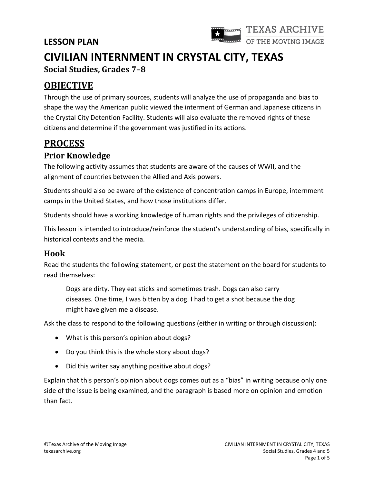

# **CIVILIAN INTERNMENT IN CRYSTAL CITY, TEXAS Social Studies, Grades 7–8**

## **OBJECTIVE**

Through the use of primary sources, students will analyze the use of propaganda and bias to shape the way the American public viewed the interment of German and Japanese citizens in the Crystal City Detention Facility. Students will also evaluate the removed rights of these citizens and determine if the government was justified in its actions.

## **PROCESS**

### **Prior Knowledge**

The following activity assumes that students are aware of the causes of WWII, and the alignment of countries between the Allied and Axis powers.

Students should also be aware of the existence of concentration camps in Europe, internment camps in the United States, and how those institutions differ.

Students should have a working knowledge of human rights and the privileges of citizenship.

This lesson is intended to introduce/reinforce the student's understanding of bias, specifically in historical contexts and the media.

#### **Hook**

Read the students the following statement, or post the statement on the board for students to read themselves:

Dogs are dirty. They eat sticks and sometimes trash. Dogs can also carry diseases. One time, I was bitten by a dog. I had to get a shot because the dog might have given me a disease.

Ask the class to respond to the following questions (either in writing or through discussion):

- What is this person's opinion about dogs?
- Do you think this is the whole story about dogs?
- Did this writer say anything positive about dogs?

Explain that this person's opinion about dogs comes out as a "bias" in writing because only one side of the issue is being examined, and the paragraph is based more on opinion and emotion than fact.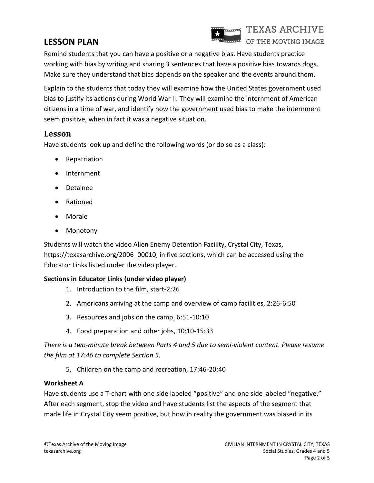

Remind students that you can have a positive or a negative bias. Have students practice working with bias by writing and sharing 3 sentences that have a positive bias towards dogs. Make sure they understand that bias depends on the speaker and the events around them.

Explain to the students that today they will examine how the United States government used bias to justify its actions during World War II. They will examine the internment of American citizens in a time of war, and identify how the government used bias to make the internment seem positive, when in fact it was a negative situation.

#### **Lesson**

Have students look up and define the following words (or do so as a class):

- Repatriation
- Internment
- Detainee
- Rationed
- Morale
- Monotony

Students will watch the video Alien Enemy Detention Facility, Crystal City, Texas, [https://texasarchive.org/2006\\_00010,](https://texasarchive.org/2006_00010) in five sections, which can be accessed using the Educator Links listed under the video player.

#### **Sections in Educator Links (under video player)**

- 1. Introduction to the film, start-2:26
- 2. Americans arriving at the camp and overview of camp facilities, 2:26-6:50
- 3. Resources and jobs on the camp, 6:51-10:10
- 4. Food preparation and other jobs, 10:10-15:33

*There is a two-minute break between Parts 4 and 5 due to semi-violent content. Please resume the film at 17:46 to complete Section 5.*

5. Children on the camp and recreation, 17:46-20:40

#### **Worksheet A**

Have students use a T-chart with one side labeled "positive" and one side labeled "negative." After each segment, stop the video and have students list the aspects of the segment that made life in Crystal City seem positive, but how in reality the government was biased in its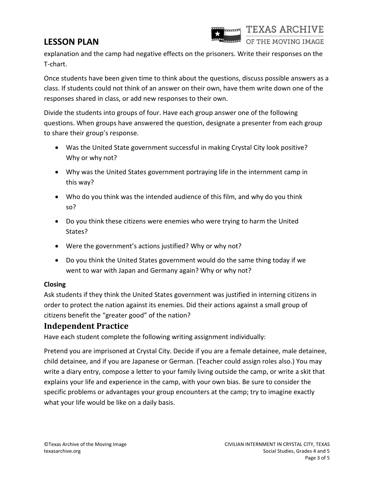

explanation and the camp had negative effects on the prisoners. Write their responses on the T-chart.

Once students have been given time to think about the questions, discuss possible answers as a class. If students could not think of an answer on their own, have them write down one of the responses shared in class, or add new responses to their own.

Divide the students into groups of four. Have each group answer one of the following questions. When groups have answered the question, designate a presenter from each group to share their group's response.

- Was the United State government successful in making Crystal City look positive? Why or why not?
- Why was the United States government portraying life in the internment camp in this way?
- Who do you think was the intended audience of this film, and why do you think so?
- Do you think these citizens were enemies who were trying to harm the United States?
- Were the government's actions justified? Why or why not?
- Do you think the United States government would do the same thing today if we went to war with Japan and Germany again? Why or why not?

#### **Closing**

Ask students if they think the United States government was justified in interning citizens in order to protect the nation against its enemies. Did their actions against a small group of citizens benefit the "greater good" of the nation?

#### **Independent Practice**

Have each student complete the following writing assignment individually:

Pretend you are imprisoned at Crystal City. Decide if you are a female detainee, male detainee, child detainee, and if you are Japanese or German. (Teacher could assign roles also.) You may write a diary entry, compose a letter to your family living outside the camp, or write a skit that explains your life and experience in the camp, with your own bias. Be sure to consider the specific problems or advantages your group encounters at the camp; try to imagine exactly what your life would be like on a daily basis.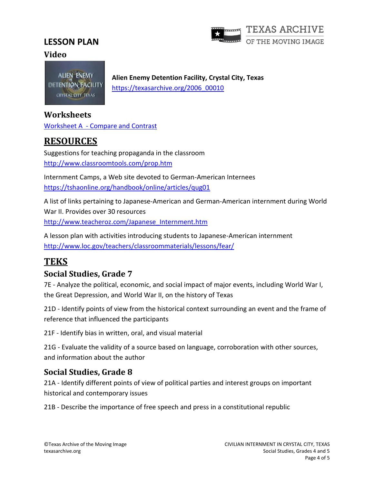

#### **Video**

**ALIEN ENEMY** DETENTION FACILITY CRYSTAL CITY, TEXAS

**Alien Enemy Detention Facility, Crystal City, Texas** [https://texasarchive.org/2006\\_00010](https://texasarchive.org/2006_00010)

#### **Worksheets**

Worksheet A - [Compare and Contrast](https://texasarchive.org/sites/default/files/2020-01/Worksheet%20A%20-%20Civilian%20Internment%20-%20Grades%207%20and%208.pdf)

## **RESOURCES**

Suggestions for teaching propaganda in the classroom <http://www.classroomtools.com/prop.htm>

Internment Camps, a Web site devoted to German-American Internees <https://tshaonline.org/handbook/online/articles/qug01>

A list of links pertaining to Japanese-American and German-American internment during World War II. Provides over 30 resources [http://www.teacheroz.com/Japanese\\_Internment.htm](http://www.teacheroz.com/Japanese_Internment.htm)

A lesson plan with activities introducing students to Japanese-American internment <http://www.loc.gov/teachers/classroommaterials/lessons/fear/>

## **TEKS**

#### **Social Studies, Grade 7**

7E - Analyze the political, economic, and social impact of major events, including World War I, the Great Depression, and World War II, on the history of Texas

21D - Identify points of view from the historical context surrounding an event and the frame of reference that influenced the participants

21F - Identify bias in written, oral, and visual material

21G - Evaluate the validity of a source based on language, corroboration with other sources, and information about the author

### **Social Studies, Grade 8**

21A - Identify different points of view of political parties and interest groups on important historical and contemporary issues

21B - Describe the importance of free speech and press in a constitutional republic